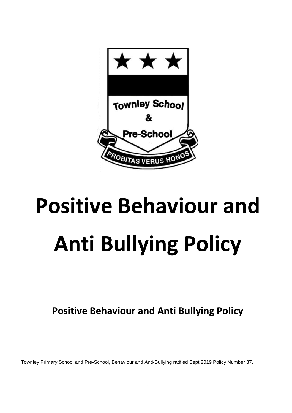

# **Positive Behaviour and Anti Bullying Policy**

**Positive Behaviour and Anti Bullying Policy**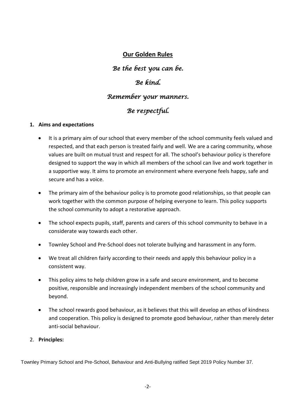# **Our Golden Rules**

*Be the best you can be.* 

# *Be kind.*

# *Remember your manners.*

# *Be respectful.*

# **1. Aims and expectations**

- It is a primary aim of our school that every member of the school community feels valued and respected, and that each person is treated fairly and well. We are a caring community, whose values are built on mutual trust and respect for all. The school's behaviour policy is therefore designed to support the way in which all members of the school can live and work together in a supportive way. It aims to promote an environment where everyone feels happy, safe and secure and has a voice.
- The primary aim of the behaviour policy is to promote good relationships, so that people can work together with the common purpose of helping everyone to learn. This policy supports the school community to adopt a restorative approach.
- The school expects pupils, staff, parents and carers of this school community to behave in a considerate way towards each other.
- Townley School and Pre-School does not tolerate bullying and harassment in any form.
- We treat all children fairly according to their needs and apply this behaviour policy in a consistent way.
- This policy aims to help children grow in a safe and secure environment, and to become positive, responsible and increasingly independent members of the school community and beyond.
- The school rewards good behaviour, as it believes that this will develop an ethos of kindness and cooperation. This policy is designed to promote good behaviour, rather than merely deter anti-social behaviour.

# 2. **Principles:**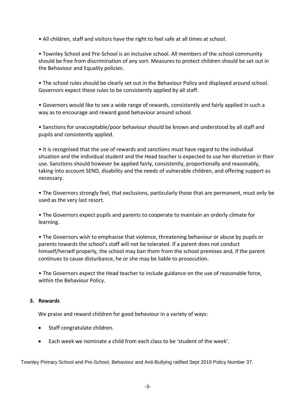• All children, staff and visitors have the right to feel safe at all times at school.

• Townley School and Pre-School is an inclusive school. All members of the school community should be free from discrimination of any sort. Measures to protect children should be set out in the Behaviour and Equality policies.

• The school rules should be clearly set out in the Behaviour Policy and displayed around school. Governors expect these rules to be consistently applied by all staff.

• Governors would like to see a wide range of rewards, consistently and fairly applied in such a way as to encourage and reward good behaviour around school.

• Sanctions for unacceptable/poor behaviour should be known and understood by all staff and pupils and consistently applied.

• It is recognised that the use of rewards and sanctions must have regard to the individual situation and the individual student and the Head teacher is expected to use her discretion in their use. Sanctions should however be applied fairly, consistently, proportionally and reasonably, taking into account SEND, disability and the needs of vulnerable children, and offering support as necessary.

• The Governors strongly feel, that exclusions, particularly those that are permanent, must only be used as the very last resort.

• The Governors expect pupils and parents to cooperate to maintain an orderly climate for learning.

• The Governors wish to emphasise that violence, threatening behaviour or abuse by pupils or parents towards the school's staff will not be tolerated. If a parent does not conduct himself/herself properly, the school may ban them from the school premises and, if the parent continues to cause disturbance, he or she may be liable to prosecution.

• The Governors expect the Head teacher to include guidance on the use of reasonable force, within the Behaviour Policy.

# **3. Rewards**

We praise and reward children for good behaviour in a variety of ways:

- Staff congratulate children.
- Each week we nominate a child from each class to be 'student of the week'.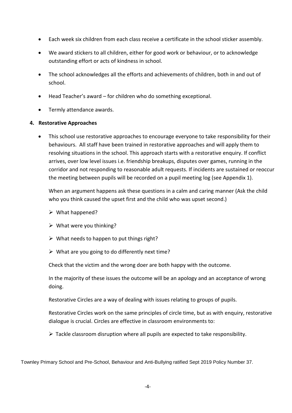- Each week six children from each class receive a certificate in the school sticker assembly.
- We award stickers to all children, either for good work or behaviour, or to acknowledge outstanding effort or acts of kindness in school.
- The school acknowledges all the efforts and achievements of children, both in and out of school.
- Head Teacher's award for children who do something exceptional.
- **•** Termly attendance awards.

#### **4. Restorative Approaches**

 This school use restorative approaches to encourage everyone to take responsibility for their behaviours. All staff have been trained in restorative approaches and will apply them to resolving situations in the school. This approach starts with a restorative enquiry. If conflict arrives, over low level issues i.e. friendship breakups, disputes over games, running in the corridor and not responding to reasonable adult requests. If incidents are sustained or reoccur the meeting between pupils will be recorded on a pupil meeting log (see Appendix 1).

When an argument happens ask these questions in a calm and caring manner (Ask the child who you think caused the upset first and the child who was upset second.)

- $\triangleright$  What happened?
- $\triangleright$  What were you thinking?
- $\triangleright$  What needs to happen to put things right?
- $\triangleright$  What are you going to do differently next time?

Check that the victim and the wrong doer are both happy with the outcome.

In the majority of these issues the outcome will be an apology and an acceptance of wrong doing.

Restorative Circles are a way of dealing with issues relating to groups of pupils.

Restorative Circles work on the same principles of circle time, but as with enquiry, restorative dialogue is crucial. Circles are effective in classroom environments to:

 $\triangleright$  Tackle classroom disruption where all pupils are expected to take responsibility.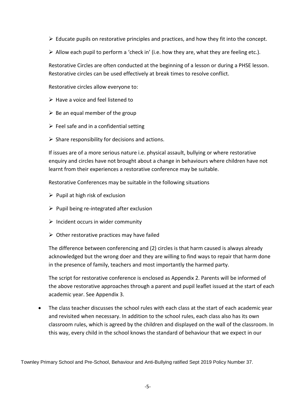- $\triangleright$  Educate pupils on restorative principles and practices, and how they fit into the concept.
- $\triangleright$  Allow each pupil to perform a 'check in' (i.e. how they are, what they are feeling etc.).

Restorative Circles are often conducted at the beginning of a lesson or during a PHSE lesson. Restorative circles can be used effectively at break times to resolve conflict.

Restorative circles allow everyone to:

- $\triangleright$  Have a voice and feel listened to
- $\triangleright$  Be an equal member of the group
- $\triangleright$  Feel safe and in a confidential setting
- $\triangleright$  Share responsibility for decisions and actions.

If issues are of a more serious nature i.e. physical assault, bullying or where restorative enquiry and circles have not brought about a change in behaviours where children have not learnt from their experiences a restorative conference may be suitable.

Restorative Conferences may be suitable in the following situations

- $\triangleright$  Pupil at high risk of exclusion
- $\triangleright$  Pupil being re-integrated after exclusion
- $\triangleright$  Incident occurs in wider community
- $\triangleright$  Other restorative practices may have failed

The difference between conferencing and (2) circles is that harm caused is always already acknowledged but the wrong doer and they are willing to find ways to repair that harm done in the presence of family, teachers and most importantly the harmed party.

The script for restorative conference is enclosed as Appendix 2. Parents will be informed of the above restorative approaches through a parent and pupil leaflet issued at the start of each academic year. See Appendix 3.

 The class teacher discusses the school rules with each class at the start of each academic year and revisited when necessary. In addition to the school rules, each class also has its own classroom rules, which is agreed by the children and displayed on the wall of the classroom. In this way, every child in the school knows the standard of behaviour that we expect in our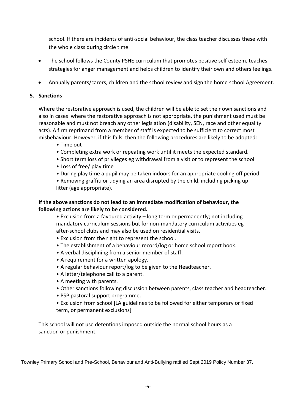school. If there are incidents of anti-social behaviour, the class teacher discusses these with the whole class during circle time.

- The school follows the County PSHE curriculum that promotes positive self esteem, teaches strategies for anger management and helps children to identify their own and others feelings.
- Annually parents/carers, children and the school review and sign the home school Agreement.

# **5. Sanctions**

Where the restorative approach is used, the children will be able to set their own sanctions and also in cases where the restorative approach is not appropriate, the punishment used must be reasonable and must not breach any other legislation (disability, SEN, race and other equality acts). A firm reprimand from a member of staff is expected to be sufficient to correct most misbehaviour. However, if this fails, then the following procedures are likely to be adopted:

- Time out
- Completing extra work or repeating work until it meets the expected standard.
- Short term loss of privileges eg withdrawal from a visit or to represent the school
- Loss of free/ play time
- During play time a pupil may be taken indoors for an appropriate cooling off period.
- Removing graffiti or tidying an area disrupted by the child, including picking up litter (age appropriate).

# **If the above sanctions do not lead to an immediate modification of behaviour, the following actions are likely to be considered.**

• Exclusion from a favoured activity – long term or permanently; not including mandatory curriculum sessions but for non-mandatory curriculum activities eg after-school clubs and may also be used on residential visits.

- Exclusion from the right to represent the school.
- The establishment of a behaviour record/log or home school report book.
- A verbal disciplining from a senior member of staff.
- A requirement for a written apology.
- A regular behaviour report/log to be given to the Headteacher.
- A letter/telephone call to a parent.
- A meeting with parents.
- Other sanctions following discussion between parents, class teacher and headteacher.
- PSP pastoral support programme.

• Exclusion from school [LA guidelines to be followed for either temporary or fixed term, or permanent exclusions]

This school will not use detentions imposed outside the normal school hours as a sanction or punishment.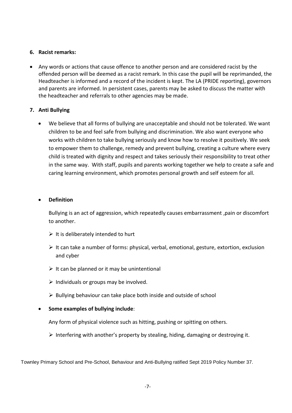# **6. Racist remarks:**

 Any words or actions that cause offence to another person and are considered racist by the offended person will be deemed as a racist remark. In this case the pupil will be reprimanded, the Headteacher is informed and a record of the incident is kept. The LA (PRIDE reporting), governors and parents are informed. In persistent cases, parents may be asked to discuss the matter with the headteacher and referrals to other agencies may be made.

#### **7. Anti Bullying**

 We believe that all forms of bullying are unacceptable and should not be tolerated. We want children to be and feel safe from bullying and discrimination. We also want everyone who works with children to take bullying seriously and know how to resolve it positively. We seek to empower them to challenge, remedy and prevent bullying, creating a culture where every child is treated with dignity and respect and takes seriously their responsibility to treat other in the same way. With staff, pupils and parents working together we help to create a safe and caring learning environment, which promotes personal growth and self esteem for all.

#### **Definition**

Bullying is an act of aggression, which repeatedly causes embarrassment ,pain or discomfort to another.

- $\triangleright$  It is deliberately intended to hurt
- $\triangleright$  It can take a number of forms: physical, verbal, emotional, gesture, extortion, exclusion and cyber
- $\triangleright$  It can be planned or it may be unintentional
- $\triangleright$  Individuals or groups may be involved.
- $\triangleright$  Bullying behaviour can take place both inside and outside of school

# **Some examples of bullying include**:

Any form of physical violence such as hitting, pushing or spitting on others.

Interfering with another's property by stealing, hiding, damaging or destroying it.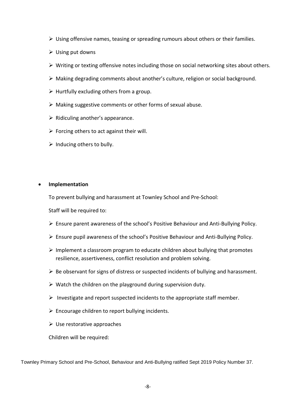- $\triangleright$  Using offensive names, teasing or spreading rumours about others or their families.
- $\triangleright$  Using put downs
- Writing or texting offensive notes including those on social networking sites about others.
- Making degrading comments about another's culture, religion or social background.
- $\triangleright$  Hurtfully excluding others from a group.
- $\triangleright$  Making suggestive comments or other forms of sexual abuse.
- $\triangleright$  Ridiculing another's appearance.
- $\triangleright$  Forcing others to act against their will.
- $\triangleright$  Inducing others to bully.

#### **Implementation**

To prevent bullying and harassment at Townley School and Pre-School:

Staff will be required to:

- $\triangleright$  Ensure parent awareness of the school's Positive Behaviour and Anti-Bullying Policy.
- Ensure pupil awareness of the school's Positive Behaviour and Anti-Bullying Policy.
- $\triangleright$  Implement a classroom program to educate children about bullying that promotes resilience, assertiveness, conflict resolution and problem solving.
- $\triangleright$  Be observant for signs of distress or suspected incidents of bullying and harassment.
- $\triangleright$  Watch the children on the playground during supervision duty.
- $\triangleright$  Investigate and report suspected incidents to the appropriate staff member.
- $\triangleright$  Encourage children to report bullying incidents.
- $\triangleright$  Use restorative approaches

Children will be required: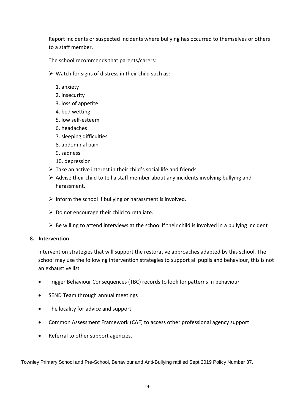Report incidents or suspected incidents where bullying has occurred to themselves or others to a staff member.

The school recommends that parents/carers:

- $\triangleright$  Watch for signs of distress in their child such as:
	- 1. anxiety
	- 2. insecurity
	- 3. loss of appetite
	- 4. bed wetting
	- 5. low self-esteem
	- 6. headaches
	- 7. sleeping difficulties
	- 8. abdominal pain
	- 9. sadness
	- 10. depression
- $\triangleright$  Take an active interest in their child's social life and friends.
- $\triangleright$  Advise their child to tell a staff member about any incidents involving bullying and harassment.
- $\triangleright$  Inform the school if bullying or harassment is involved.
- $\triangleright$  Do not encourage their child to retaliate.
- $\triangleright$  Be willing to attend interviews at the school if their child is involved in a bullying incident

# **8. Intervention**

Intervention strategies that will support the restorative approaches adapted by this school. The school may use the following intervention strategies to support all pupils and behaviour, this is not an exhaustive list

- Trigger Behaviour Consequences (TBC) records to look for patterns in behaviour
- SEND Team through annual meetings
- The locality for advice and support
- Common Assessment Framework (CAF) to access other professional agency support
- Referral to other support agencies.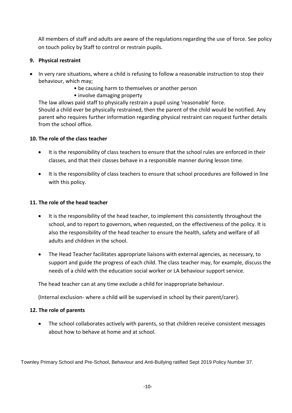All members of staff and adults are aware of the regulations regarding the use of force. See policy on touch policy by Staff to control or restrain pupils.

# **9. Physical restraint**

- In very rare situations, where a child is refusing to follow a reasonable instruction to stop their behaviour, which may;
	- be causing harm to themselves or another person
	- involve damaging property

The law allows paid staff to physically restrain a pupil using 'reasonable' force. Should a child ever be physically restrained, then the parent of the child would be notified. Any parent who requires further information regarding physical restraint can request further details from the school office.

# **10. The role of the class teacher**

- It is the responsibility of class teachers to ensure that the school rules are enforced in their classes, and that their classes behave in a responsible manner during lesson time.
- It is the responsibility of class teachers to ensure that school procedures are followed in line with this policy.

#### **11. The role of the head teacher**

- It is the responsibility of the head teacher, to implement this consistently throughout the school, and to report to governors, when requested, on the effectiveness of the policy. It is also the responsibility of the head teacher to ensure the health, safety and welfare of all adults and children in the school.
- The Head Teacher facilitates appropriate liaisons with external agencies, as necessary, to support and guide the progress of each child. The class teacher may, for example, discuss the needs of a child with the education social worker or LA behaviour support service.

The head teacher can at any time exclude a child for inappropriate behaviour.

(Internal exclusion- where a child will be supervised in school by their parent/carer).

# **12. The role of parents**

 The school collaborates actively with parents, so that children receive consistent messages about how to behave at home and at school.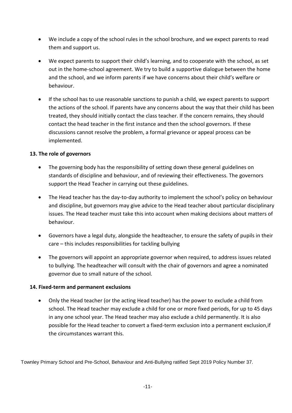- We include a copy of the school rules in the school brochure, and we expect parents to read them and support us.
- We expect parents to support their child's learning, and to cooperate with the school, as set out in the home-school agreement. We try to build a supportive dialogue between the home and the school, and we inform parents if we have concerns about their child's welfare or behaviour.
- If the school has to use reasonable sanctions to punish a child, we expect parents to support the actions of the school. If parents have any concerns about the way that their child has been treated, they should initially contact the class teacher. If the concern remains, they should contact the head teacher in the first instance and then the school governors. If these discussions cannot resolve the problem, a formal grievance or appeal process can be implemented.

# **13. The role of governors**

- The governing body has the responsibility of setting down these general guidelines on standards of discipline and behaviour, and of reviewing their effectiveness. The governors support the Head Teacher in carrying out these guidelines.
- The Head teacher has the day-to-day authority to implement the school's policy on behaviour and discipline, but governors may give advice to the Head teacher about particular disciplinary issues. The Head teacher must take this into account when making decisions about matters of behaviour.
- Governors have a legal duty, alongside the headteacher, to ensure the safety of pupils in their care – this includes responsibilities for tackling bullying
- The governors will appoint an appropriate governor when required, to address issues related to bullying. The headteacher will consult with the chair of governors and agree a nominated governor due to small nature of the school.

#### **14. Fixed-term and permanent exclusions**

 Only the Head teacher (or the acting Head teacher) has the power to exclude a child from school. The Head teacher may exclude a child for one or more fixed periods, for up to 45 days in any one school year. The Head teacher may also exclude a child permanently. It is also possible for the Head teacher to convert a fixed-term exclusion into a permanent exclusion,if the circumstances warrant this.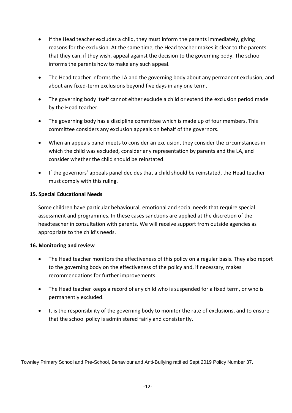- If the Head teacher excludes a child, they must inform the parents immediately, giving reasons for the exclusion. At the same time, the Head teacher makes it clear to the parents that they can, if they wish, appeal against the decision to the governing body. The school informs the parents how to make any such appeal.
- The Head teacher informs the LA and the governing body about any permanent exclusion, and about any fixed-term exclusions beyond five days in any one term.
- The governing body itself cannot either exclude a child or extend the exclusion period made by the Head teacher.
- The governing body has a discipline committee which is made up of four members. This committee considers any exclusion appeals on behalf of the governors.
- When an appeals panel meets to consider an exclusion, they consider the circumstances in which the child was excluded, consider any representation by parents and the LA, and consider whether the child should be reinstated.
- If the governors' appeals panel decides that a child should be reinstated, the Head teacher must comply with this ruling.

# **15. Special Educational Needs**

Some children have particular behavioural, emotional and social needs that require special assessment and programmes. In these cases sanctions are applied at the discretion of the headteacher in consultation with parents. We will receive support from outside agencies as appropriate to the child's needs.

# **16. Monitoring and review**

- The Head teacher monitors the effectiveness of this policy on a regular basis. They also report to the governing body on the effectiveness of the policy and, if necessary, makes recommendations for further improvements.
- The Head teacher keeps a record of any child who is suspended for a fixed term, or who is permanently excluded.
- It is the responsibility of the governing body to monitor the rate of exclusions, and to ensure that the school policy is administered fairly and consistently.